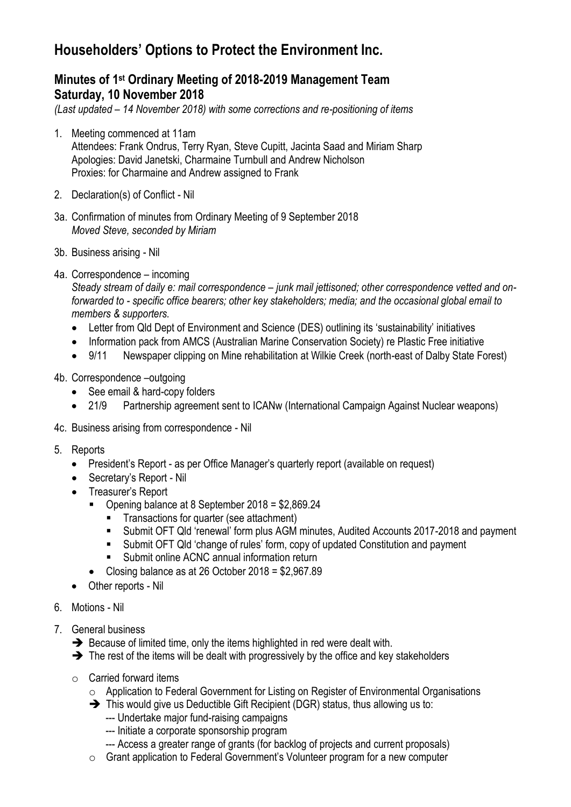## **Householders' Options to Protect the Environment Inc.**

## **Minutes of 1st Ordinary Meeting of 2018-2019 Management Team Saturday, 10 November 2018**

*(Last updated – 14 November 2018) with some corrections and re-positioning of items*

- 1. Meeting commenced at 11am Attendees: Frank Ondrus, Terry Ryan, Steve Cupitt, Jacinta Saad and Miriam Sharp Apologies: David Janetski, Charmaine Turnbull and Andrew Nicholson Proxies: for Charmaine and Andrew assigned to Frank
- 2. Declaration(s) of Conflict Nil
- 3a. Confirmation of minutes from Ordinary Meeting of 9 September 2018 *Moved Steve, seconded by Miriam*
- 3b. Business arising Nil
- 4a. Correspondence incoming

*Steady stream of daily e: mail correspondence – junk mail jettisoned; other correspondence vetted and onforwarded to - specific office bearers; other key stakeholders; media; and the occasional global email to members & supporters.* 

- Letter from Qld Dept of Environment and Science (DES) outlining its 'sustainability' initiatives
- Information pack from AMCS (Australian Marine Conservation Society) re Plastic Free initiative
- 9/11 Newspaper clipping on Mine rehabilitation at Wilkie Creek (north-east of Dalby State Forest)
- 4b. Correspondence –outgoing
	- See email & hard-copy folders
	- 21/9 Partnership agreement sent to ICANw (International Campaign Against Nuclear weapons)
- 4c. Business arising from correspondence Nil
- 5. Reports
	- President's Report as per Office Manager's quarterly report (available on request)
	- Secretary's Report Nil
	- Treasurer's Report
		- Opening balance at 8 September 2018 = \$2,869.24
			- Transactions for quarter (see attachment)
			- Submit OFT Qld 'renewal' form plus AGM minutes, Audited Accounts 2017-2018 and payment
			- Submit OFT Qld 'change of rules' form, copy of updated Constitution and payment
			- Submit online ACNC annual information return
		- Closing balance as at 26 October 2018 = \$2,967.89
	- Other reports Nil
- 6. Motions Nil
- 7. General business
	- ➔ Because of limited time, only the items highlighted in red were dealt with.
	- ➔ The rest of the items will be dealt with progressively by the office and key stakeholders
	- $\circ$  Carried forward items
		- o Application to Federal Government for Listing on Register of Environmental Organisations
		- ➔ This would give us Deductible Gift Recipient (DGR) status, thus allowing us to:
			- --- Undertake major fund-raising campaigns
			- --- Initiate a corporate sponsorship program
			- --- Access a greater range of grants (for backlog of projects and current proposals)
		- o Grant application to Federal Government's Volunteer program for a new computer